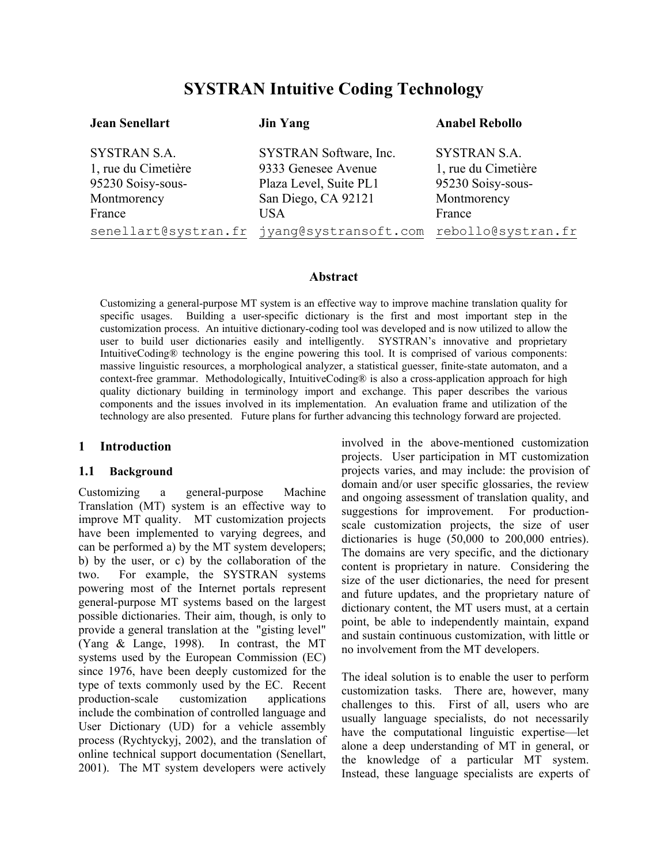# **SYSTRAN Intuitive Coding Technology**

| <b>Jean Senellart</b>                                                                    | <b>Jin Yang</b>                                                                                       | <b>Anabel Rebollo</b>                                                                    |
|------------------------------------------------------------------------------------------|-------------------------------------------------------------------------------------------------------|------------------------------------------------------------------------------------------|
| <b>SYSTRAN S.A.</b><br>1, rue du Cimetière<br>95230 Soisy-sous-<br>Montmorency<br>France | SYSTRAN Software, Inc.<br>9333 Genesee Avenue<br>Plaza Level, Suite PL1<br>San Diego, CA 92121<br>USA | <b>SYSTRAN S.A.</b><br>1, rue du Cimetière<br>95230 Soisy-sous-<br>Montmorency<br>France |
|                                                                                          | senellart@systran.fr jyang@systransoft.com                                                            | rebollo@systran.fr                                                                       |

## **Abstract**

Customizing a general-purpose MT system is an effective way to improve machine translation quality for specific usages. Building a user-specific dictionary is the first and most important step in the customization process. An intuitive dictionary-coding tool was developed and is now utilized to allow the user to build user dictionaries easily and intelligently. IntuitiveCoding® technology is the engine powering this tool. It is comprised of various components: massive linguistic resources, a morphological analyzer, a statistical guesser, finite-state automaton, and a context-free grammar. Methodologically, IntuitiveCoding® is also a cross-application approach for high quality dictionary building in terminology import and exchange. This paper describes the various components and the issues involved in its implementation. An evaluation frame and utilization of the technology are also presented. Future plans for further advancing this technology forward are projected.

## **1 Introduction**

## **1.1 Background**

Customizing a general-purpose Machine Translation (MT) system is an effective way to improve MT quality. MT customization projects have been implemented to varying degrees, and can be performed a) by the MT system developers; b) by the user, or c) by the collaboration of the two. For example, the SYSTRAN systems powering most of the Internet portals represent general-purpose MT systems based on the largest possible dictionaries. Their aim, though, is only to provide a general translation at the "gisting level" (Yang & Lange, 1998). In contrast, the MT systems used by the European Commission (EC) since 1976, have been deeply customized for the type of texts commonly used by the EC. Recent production-scale customization applications include the combination of controlled language and User Dictionary (UD) for a vehicle assembly process (Rychtyckyj, 2002), and the translation of online technical support documentation (Senellart, 2001). The MT system developers were actively involved in the above-mentioned customization projects. User participation in MT customization projects varies, and may include: the provision of domain and/or user specific glossaries, the review and ongoing assessment of translation quality, and suggestions for improvement. For productionscale customization projects, the size of user dictionaries is huge (50,000 to 200,000 entries). The domains are very specific, and the dictionary content is proprietary in nature. Considering the size of the user dictionaries, the need for present and future updates, and the proprietary nature of dictionary content, the MT users must, at a certain point, be able to independently maintain, expand and sustain continuous customization, with little or no involvement from the MT developers.

The ideal solution is to enable the user to perform customization tasks. There are, however, many challenges to this. First of all, users who are usually language specialists, do not necessarily have the computational linguistic expertise—let alone a deep understanding of MT in general, or the knowledge of a particular MT system. Instead, these language specialists are experts of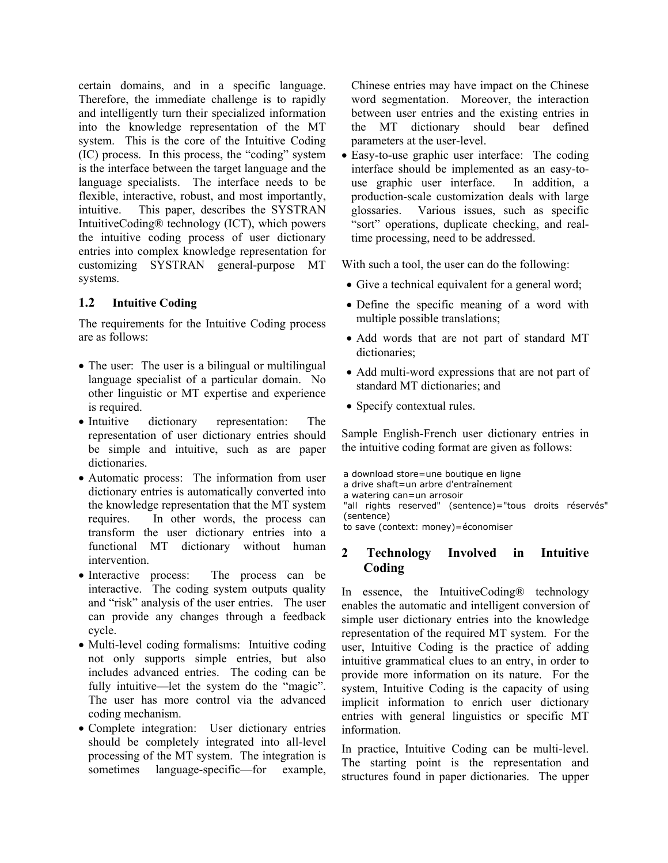certain domains, and in a specific language. Therefore, the immediate challenge is to rapidly and intelligently turn their specialized information into the knowledge representation of the MT system. This is the core of the Intuitive Coding (IC) process. In this process, the "coding" system is the interface between the target language and the language specialists. The interface needs to be flexible, interactive, robust, and most importantly, intuitive. This paper, describes the SYSTRAN IntuitiveCoding® technology (ICT), which powers the intuitive coding process of user dictionary entries into complex knowledge representation for customizing SYSTRAN general-purpose MT systems.

### **1.2 Intuitive Coding**

The requirements for the Intuitive Coding process are as follows:

- The user: The user is a bilingual or multilingual language specialist of a particular domain. No other linguistic or MT expertise and experience is required.
- Intuitive dictionary representation: The representation of user dictionary entries should be simple and intuitive, such as are paper dictionaries.
- Automatic process: The information from user dictionary entries is automatically converted into the knowledge representation that the MT system requires. In other words, the process can transform the user dictionary entries into a functional MT dictionary without human intervention.
- Interactive process: The process can be interactive. The coding system outputs quality and "risk" analysis of the user entries. The user can provide any changes through a feedback cycle.
- Multi-level coding formalisms: Intuitive coding not only supports simple entries, but also includes advanced entries. The coding can be fully intuitive—let the system do the "magic". The user has more control via the advanced coding mechanism.
- Complete integration: User dictionary entries should be completely integrated into all-level processing of the MT system. The integration is sometimes language-specific—for example,

Chinese entries may have impact on the Chinese word segmentation. Moreover, the interaction between user entries and the existing entries in the MT dictionary should bear defined parameters at the user-level.

• Easy-to-use graphic user interface: The coding interface should be implemented as an easy-touse graphic user interface. In addition, a production-scale customization deals with large glossaries. Various issues, such as specific "sort" operations, duplicate checking, and realtime processing, need to be addressed.

With such a tool, the user can do the following:

- Give a technical equivalent for a general word;
- Define the specific meaning of a word with multiple possible translations;
- Add words that are not part of standard MT dictionaries;
- Add multi-word expressions that are not part of standard MT dictionaries; and
- Specify contextual rules.

Sample English-French user dictionary entries in the intuitive coding format are given as follows:

a download store=une boutique en ligne

a drive shaft=un arbre d'entraînement

a watering can=un arrosoir

"all rights reserved" (sentence)="tous droits réservés" (sentence)

to save (context: money)=économiser

### **2 Technology Involved in Intuitive Coding**

In essence, the IntuitiveCoding® technology enables the automatic and intelligent conversion of simple user dictionary entries into the knowledge representation of the required MT system. For the user, Intuitive Coding is the practice of adding intuitive grammatical clues to an entry, in order to provide more information on its nature. For the system, Intuitive Coding is the capacity of using implicit information to enrich user dictionary entries with general linguistics or specific MT information.

In practice, Intuitive Coding can be multi-level. The starting point is the representation and structures found in paper dictionaries. The upper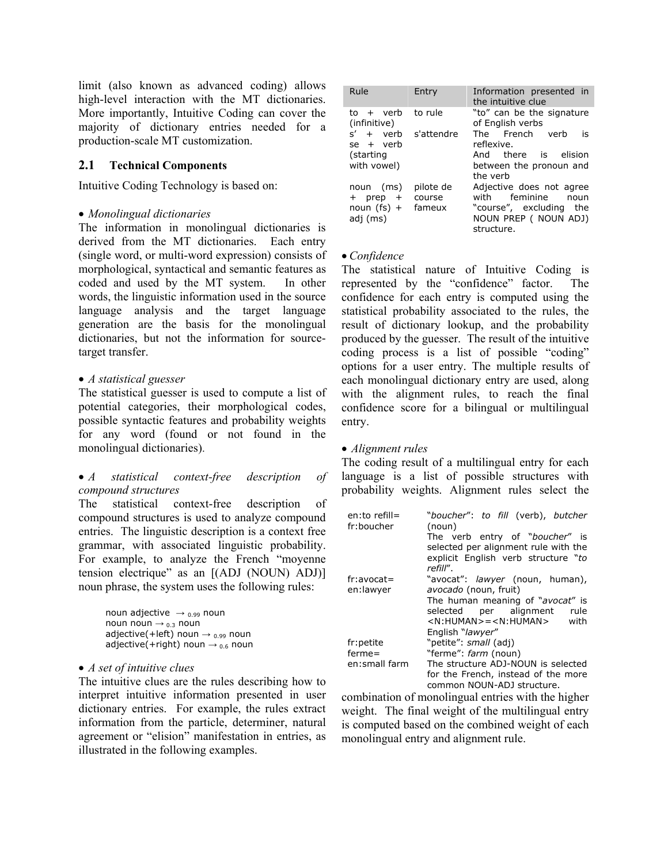limit (also known as advanced coding) allows high-level interaction with the MT dictionaries. More importantly, Intuitive Coding can cover the majority of dictionary entries needed for a production-scale MT customization.

## **2.1 Technical Components**

Intuitive Coding Technology is based on:

## • *Monolingual dictionaries*

The information in monolingual dictionaries is derived from the MT dictionaries. Each entry (single word, or multi-word expression) consists of morphological, syntactical and semantic features as coded and used by the MT system. In other words, the linguistic information used in the source language analysis and the target language generation are the basis for the monolingual dictionaries, but not the information for sourcetarget transfer.

## • *A statistical guesser*

The statistical guesser is used to compute a list of potential categories, their morphological codes, possible syntactic features and probability weights for any word (found or not found in the monolingual dictionaries).

## • *A statistical context-free description of compound structures*

The statistical context-free description of compound structures is used to analyze compound entries. The linguistic description is a context free grammar, with associated linguistic probability. For example, to analyze the French "moyenne tension electrique" as an [(ADJ (NOUN) ADJ)] noun phrase, the system uses the following rules:

| noun adjective $\rightarrow$ 0.99 noun        |
|-----------------------------------------------|
| noun noun $\rightarrow$ 03 noun               |
| adjective(+left) noun $\rightarrow$ 0.99 noun |
| adjective(+right) noun $\rightarrow$ 0.6 noun |

## • *A set of intuitive clues*

The intuitive clues are the rules describing how to interpret intuitive information presented in user dictionary entries. For example, the rules extract information from the particle, determiner, natural agreement or "elision" manifestation in entries, as illustrated in the following examples.

| Rule                                                          | Entry                         | Information presented in<br>the intuitive clue                                                                      |
|---------------------------------------------------------------|-------------------------------|---------------------------------------------------------------------------------------------------------------------|
| $to + verb$<br>(infinitive)                                   | to rule                       | "to" can be the signature<br>of English verbs                                                                       |
| $s' + \text{verb}$<br>$se + verb$<br>(starting<br>with vowel) | s'attendre                    | The French verb<br>is<br>reflexive.<br>And there is elision<br>between the pronoun and<br>the verb                  |
| noun (ms)<br>$+$ prep $+$<br>noun (fs) $+$<br>adj (ms)        | pilote de<br>course<br>fameux | Adjective does not agree<br>with feminine<br>noun<br>"course", excluding the<br>NOUN PREP ( NOUN ADJ)<br>structure. |

## • *Confidence*

The statistical nature of Intuitive Coding is represented by the "confidence" factor. The confidence for each entry is computed using the statistical probability associated to the rules, the result of dictionary lookup, and the probability produced by the guesser. The result of the intuitive coding process is a list of possible "coding" options for a user entry. The multiple results of each monolingual dictionary entry are used, along with the alignment rules, to reach the final confidence score for a bilingual or multilingual entry.

## • *Alignment rules*

The coding result of a multilingual entry for each language is a list of possible structures with probability weights. Alignment rules select the

| en:to refill=<br>fr:boucher | "boucher": to fill (verb), butcher<br>(noun)     |
|-----------------------------|--------------------------------------------------|
|                             | The verb entry of " <i>boucher"</i> is           |
|                             | selected per alignment rule with the             |
|                             | explicit English verb structure "to<br>refill".  |
| fr:avocat=                  | "avocat": lawyer (noun, human),                  |
| en:lawyer                   | avocado (noun, fruit)                            |
|                             | The human meaning of "avocat" is                 |
|                             | selected per alignment<br>rule                   |
|                             | <n:human>=<n:human><br/>with</n:human></n:human> |
|                             | English "lawyer"                                 |
| fr:petite                   | "petite": small (adj)                            |
| $ferme =$                   | "ferme": farm (noun)                             |
| en:small farm               | The structure ADJ-NOUN is selected               |
|                             | for the French, instead of the more              |
|                             | common NOUN-ADJ structure.                       |

combination of monolingual entries with the higher weight. The final weight of the multilingual entry is computed based on the combined weight of each monolingual entry and alignment rule.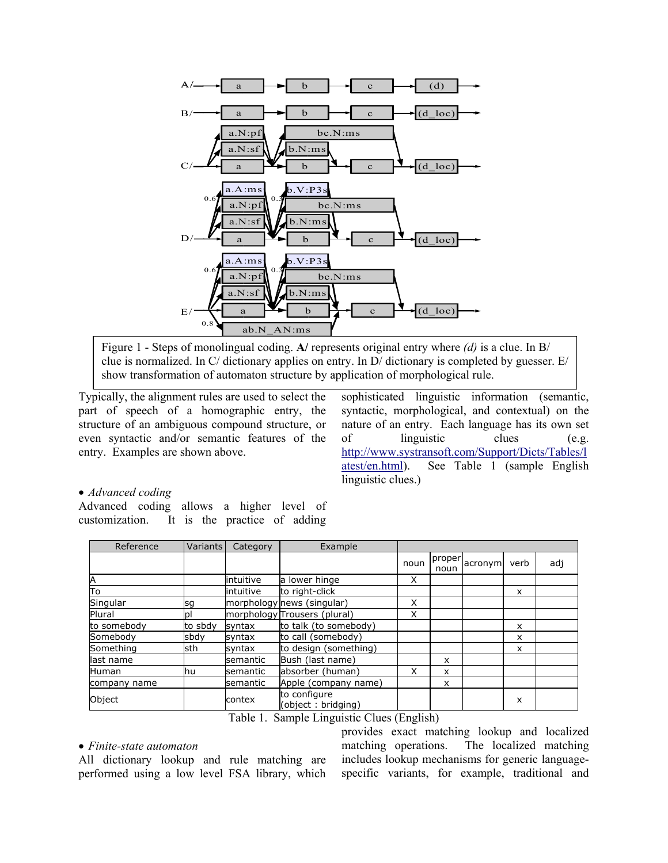

Figure 1 - Steps of monolingual coding. **A/** represents original entry where *(d)* is a clue. In B/ clue is normalized. In C/ dictionary applies on entry. In D/ dictionary is completed by guesser.  $E/$ show transformation of automaton structure by application of morphological rule.

Typically, the alignment rules are used to select the part of speech of a homographic entry, the structure of an ambiguous compound structure, or even syntactic and/or semantic features of the entry. Examples are shown above.

sophisticated linguistic information (semantic, syntactic, morphological, and contextual) on the nature of an entry. Each language has its own set of linguistic clues (e.g. http://www.systransoft.com/Support/Dicts/Tables/l atest/en.html). See Table 1 (sample English [linguistic clues.\)](http://www.systransoft.com/Support/Dicts/Tables/latest/en.html) 

## • *Advanced coding*

Advanced coding allows a higher level of customization. It is the practice of adding

| Reference    | <b>Variants</b> | Category  | Example                                             |                        |                |         |          |     |
|--------------|-----------------|-----------|-----------------------------------------------------|------------------------|----------------|---------|----------|-----|
|              |                 |           |                                                     | noun                   | proper<br>noun | acronym | verb     | adj |
| Α            |                 | intuitive | a lower hinge                                       | X                      |                |         |          |     |
| Tο           |                 | intuitive | to right-click                                      |                        |                |         | X        |     |
| Singular     | sg              |           | morphology news (singular)                          | X                      |                |         |          |     |
| Plural       | рI              |           | morphology Trousers (plural)                        | X                      |                |         |          |     |
| to somebody  | to sbdv         | syntax    | to talk (to somebody)                               |                        |                |         | $\times$ |     |
| Somebody     | sbdy            | syntax    | to call (somebody)                                  |                        |                |         | x        |     |
| Something    | sth             | syntax    | to design (something)                               |                        |                |         | x        |     |
| last name    |                 | semantic  | Bush (last name)                                    |                        | x              |         |          |     |
| Human        | lhu             | semantic  | absorber (human)                                    | X                      | X              |         |          |     |
| company name |                 | semantic  | Apple (company name)                                |                        | X              |         |          |     |
| Object       |                 | contex    | to configure<br>(object: bridging)<br>------------- | $\sqrt{2}$<br>$\cdots$ |                |         | x        |     |

Table 1. Sample Linguistic Clues (English)

### • *Finite-state automaton*

All dictionary lookup and rule matching are performed using a low level FSA library, which

specific variants, for example, traditional and provides exact matching lookup and localized matching operations. The localized matching includes lookup mechanisms for generic language-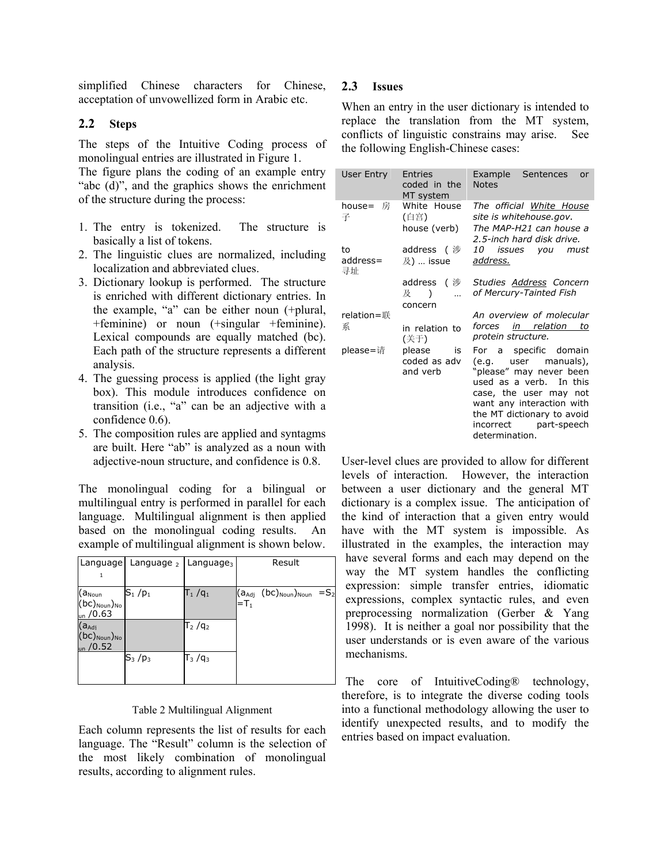simplified Chinese characters for Chinese, 2.3 acceptation of unvowellized form in Arabic etc.

## **2.2 Steps**

monolingual entries are illustrated in Figure 1. The steps of the Intuitive Coding process of

The figure plans the coding of an example entry of the structure during the process: "abc (d)", and the graphics shows the enrichment

- 1. The entry is tokenized. The structure is basically a list of tokens.
- 2. The linguistic clues are normalized, including localization and abbreviated clues.
- 3. Dictionary lookup is performed. The structure ) or noun (+singular +feminine). +feminine is enriched with different dictionary entries. In the example, "a" can be either noun (+plural, Lexical compounds are equally matched (bc). Each path of the structure represents a different analysis.
- 4. The guessing process is applied (the light gray box). This module introduces confidence on transition (i.e., "a" can be an adjective with a confidence 0.6).
- . The composition rules are applied and syntagms 5 are built. Here "ab" is analyzed as a noun with adjective-noun structure, and confidence is 0.8.

language. Multilingual alignment is then applied based on the monolingual coding results. An example of multilingual alignment is shown below. The monolingual coding for a bilingual or multilingual entry is performed in parallel for each

| Language                                                                         | Language $_2$ | Language <sub>3</sub> | Result                                                                                   |
|----------------------------------------------------------------------------------|---------------|-----------------------|------------------------------------------------------------------------------------------|
|                                                                                  |               |                       |                                                                                          |
| $(a_{\text{Noun}})$<br>$(bc)_{\text{Noun}})_{\text{No}}$<br>$_{\text{un}}$ /0.63 | $S_1/p_1$     | $T_1/q_1$             | $(bc)_{\text{Noun}})_{\text{Noun}}$<br>$=$ S <sub>2</sub><br>(a <sub>Adj</sub><br>$=T_1$ |
| $(a_{\text{Adj}})$<br>$(bc)_{\text{Noun}})_{\text{No}}$<br>un / 0.52             |               | $T_2 / q_2$           |                                                                                          |
|                                                                                  | $S_3/p_3$     | $T_3 / q_3$           |                                                                                          |

### Table 2 Multilingual Alignment

Each column represents the list of results for each language. The "Result" column is the selection of the most likely combination of monolingual results, according to alignment rules.

## 2.3 **Issues**

When an entry in the user dictionary is intended to replace the translation from the MT system, conflicts of linguistic constrains may arise. See the following English-Chinese cases:

| User Entry           | <b>Entries</b><br>coded in the<br>MT system | Example<br>Sentences<br>or<br><b>Notes</b>                                                                                                                                                                                          |
|----------------------|---------------------------------------------|-------------------------------------------------------------------------------------------------------------------------------------------------------------------------------------------------------------------------------------|
| house= 房<br>子        | White House<br>(白宫)<br>house (verb)         | The official White House<br>site is whitehouse.gov.<br>The MAP-H21 can house a<br>2.5-inch hard disk drive.                                                                                                                         |
| to<br>address=<br>寻址 | address ( 涉<br>$\chi$ ) … issue             | <i>10</i><br>issues you<br>must<br>address.                                                                                                                                                                                         |
|                      | address ( 涉<br>及<br>$\lambda$<br>concern    | Studies Address Concern<br>of Mercury-Tainted Fish                                                                                                                                                                                  |
| relation=联           |                                             | An overview of molecular                                                                                                                                                                                                            |
| 系                    | in relation to<br>(关于)                      | forces <u>in relation to</u><br>protein structure.                                                                                                                                                                                  |
| please=请             | please<br>is<br>coded as adv<br>and verb    | For a specific domain<br>(e.g. user manuals),<br>"please" may never been<br>used as a verb. In this<br>case, the user may not<br>want any interaction with<br>the MT dictionary to avoid<br>incorrect part-speech<br>determination. |

User-level clues are provided to allow for different levels of interaction. However, the interaction between a user dictionary and the general MT dictionary is a complex issue. The anticipation of the kind of interaction that a given entry would have with the MT system is impossible. As illustrated in the examples, the interaction may have several forms and each may depend on the way the MT system handles the conflicting expression: simple transfer entries, idiomatic expressions, complex syntactic rules, and even preprocessing normalization (Gerber & Yang 1998). It is neither a goal nor possibility that the user understands or is even aware of the various mechanisms.

The core of IntuitiveCoding® technology, therefore, is to integrate the diverse coding tools into a functional methodology allowing the user to identify unexpected results, and to modify the entries based on impact evaluation.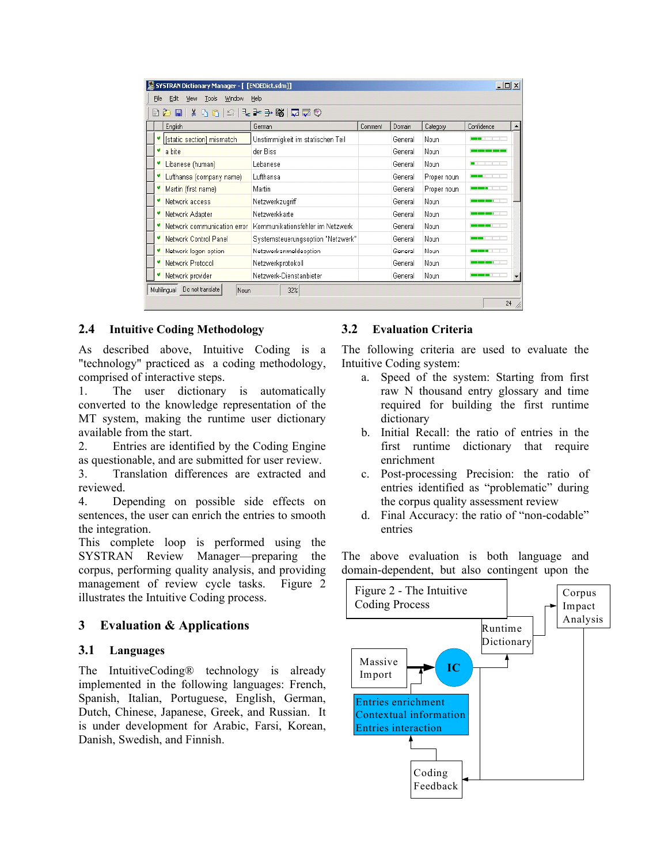|   | BAR & BBC FFFF BBC 0        |                                    |         |         |             |                              |  |
|---|-----------------------------|------------------------------------|---------|---------|-------------|------------------------------|--|
|   | English                     | German                             | Comment | Domain  | Category    | Confidence                   |  |
|   | [static section] mismatch   | Unstimmigkeit im statischen Teil   |         | General | Noun        |                              |  |
| v | a bite                      | der Biss                           |         | General | Noun.       | <b>BAR DESIGN BARBER DER</b> |  |
|   | Libanese (human)            | Lebanese                           |         | General | Noun        | $\blacksquare$               |  |
|   | Lufthansa (company name)    | Lufthansa                          |         | General | Proper noun |                              |  |
|   | Martin (first name)         | <b>Martin</b>                      |         | General | Proper noun | <b>CONTRACTOR</b>            |  |
|   | Network access              | Netzwerkzugriff                    |         | General | Noun.       |                              |  |
|   | Network Adapter             | Netzwerkkarte                      |         | General | Noun        | <b>CONTRACTOR</b>            |  |
|   | Network communication error | Kommunikationsfehler im Netzwerk   |         | General | Noun.       | <u>sa masa san T</u>         |  |
|   | Network Control Panel       | Systemsteuerungsoption "Netzwerk". |         | General | Noun        | T<br>--                      |  |
|   | Network logon option        | Netzwerkanmeldeoption              |         | General | Noun        |                              |  |
|   | Network Protocol            | Netzwerkprotokoll                  |         | General | Noun        | <b>STATE</b>                 |  |
|   | Network provider            | Netzwerk-Dienstanbieter            |         | General | Noun        |                              |  |

#### **2.4 Intuitive Coding Methodology 3.2**

As described above, Intuitive Coding is a "technology" practiced as a coding methodology, comprised of interactive steps.

1. The user dictionary is automatically converted to the knowledge representation of the MT system, making the runtime user dictionary available from the start.

2. Entries are identified by the Coding Engine as questionable, and are submitted for user review.

3. Translation differences are extracted and reviewed.

4. Depending on possible side effects on sentences, the user can enrich the entries to smooth the integration.

This complete loop is performed using the SYSTRAN Review Manager—preparing the corpus, performing quality analysis, and providing management of review cycle tasks. Figure 2 illustrates the Intuitive Coding process.

#### **3 Evaluation & Applications**

#### **3.1 Languages**

The IntuitiveCoding® technology is already implemented in the following languages: French, Spanish, Italian, Portuguese, English, German, Dutch, Chinese, Japanese, Greek, and Russian. It is under development for Arabic, Farsi, Korean, Danish, Swedish, and Finnish.

## **Evaluation Criteria**

The following criteria are used to evaluate the Intuitive Coding system:

- a. Speed of the system: Starting from first raw N thousand entry glossary and time required for building the first runtime dictionary
- b. Initial Recall: the ratio of entries in the first runtime dictionary that require enrichment
- c. Post-processing Precision: the ratio of entries identified as "problematic" during the corpus quality assessment review
- d. Final Accuracy: the ratio of "non-codable" entries

The above evaluation is both language and domain-dependent, but also contingent upon the

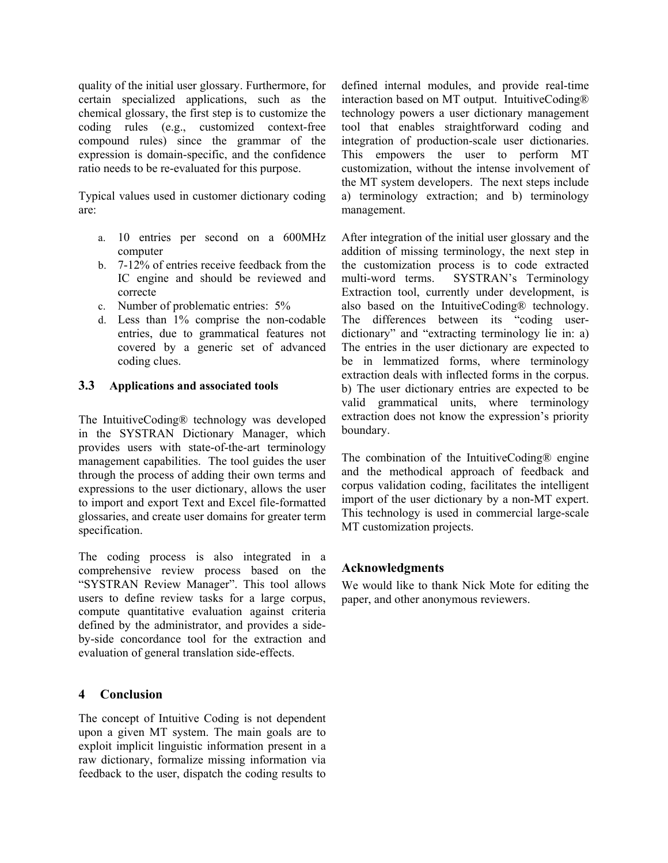quality of the initial user glossary. Furthermore, for certain specialized applications, such as the chemical glossary, the first step is to customize the coding rules (e.g., customized context-free compound rules) since the grammar of the expression is domain-specific, and the confidence ratio needs to be re-evaluated for this purpose.

Typical values used in customer dictionary coding are:

- a. 10 entries per second on a 600MHz computer
- b. 7-12% of entries receive feedback from the IC engine and should be reviewed and correcte
- c. Number of problematic entries: 5%
- d. Less than 1% comprise the non-codable entries, due to grammatical features not covered by a generic set of advanced coding clues.

## **3.3 Applications and associated tools**

The IntuitiveCoding® technology was developed in the SYSTRAN Dictionary Manager, which provides users with state-of-the-art terminology management capabilities. The tool guides the user through the process of adding their own terms and expressions to the user dictionary, allows the user to import and export Text and Excel file-formatted glossaries, and create user domains for greater term specification.

The coding process is also integrated in a comprehensive review process based on the "SYSTRAN Review Manager". This tool allows users to define review tasks for a large corpus, compute quantitative evaluation against criteria defined by the administrator, and provides a sideby-side concordance tool for the extraction and evaluation of general translation side-effects.

## **4 Conclusion**

The concept of Intuitive Coding is not dependent upon a given MT system. The main goals are to exploit implicit linguistic information present in a raw dictionary, formalize missing information via feedback to the user, dispatch the coding results to

defined internal modules, and provide real-time interaction based on MT output. IntuitiveCoding® technology powers a user dictionary management tool that enables straightforward coding and integration of production-scale user dictionaries. This empowers the user to perform MT customization, without the intense involvement of the MT system developers. The next steps include a) terminology extraction; and b) terminology management.

After integration of the initial user glossary and the addition of missing terminology, the next step in the customization process is to code extracted multi-word terms. SYSTRAN's Terminology Extraction tool, currently under development, is also based on the IntuitiveCoding® technology. The differences between its "coding userdictionary" and "extracting terminology lie in: a) The entries in the user dictionary are expected to be in lemmatized forms, where terminology extraction deals with inflected forms in the corpus. b) The user dictionary entries are expected to be valid grammatical units, where terminology extraction does not know the expression's priority boundary.

The combination of the IntuitiveCoding® engine and the methodical approach of feedback and corpus validation coding, facilitates the intelligent import of the user dictionary by a non-MT expert. This technology is used in commercial large-scale MT customization projects.

## **Acknowledgments**

We would like to thank Nick Mote for editing the paper, and other anonymous reviewers.